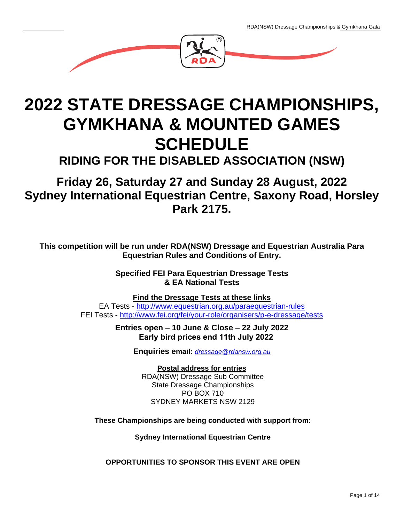

# **2022 STATE DRESSAGE CHAMPIONSHIPS, GYMKHANA & MOUNTED GAMES SCHEDULE**

**RIDING FOR THE DISABLED ASSOCIATION (NSW)**

## **Friday 26, Saturday 27 and Sunday 28 August, 2022 Sydney International Equestrian Centre, Saxony Road, Horsley Park 2175.**

**This competition will be run under RDA(NSW) Dressage and Equestrian Australia Para Equestrian Rules and Conditions of Entry.**

> **Specified FEI Para Equestrian Dressage Tests & EA National Tests**

**Find the Dressage Tests at these links** EA Tests - <http://www.equestrian.org.au/paraequestrian-rules> FEI Tests - <http://www.fei.org/fei/your-role/organisers/p-e-dressage/tests>

> **Entries open – 10 June & Close – 22 July 2022 Early bird prices end 11th July 2022**

> > **Enquiries email:** *[dressage@rdansw.org.au](mailto:dressage@rdansw.org.au)*

**Postal address for entries** RDA(NSW) Dressage Sub Committee State Dressage Championships PO BOX 710 SYDNEY MARKETS NSW 2129

**These Championships are being conducted with support from:**

**Sydney International Equestrian Centre**

**OPPORTUNITIES TO SPONSOR THIS EVENT ARE OPEN**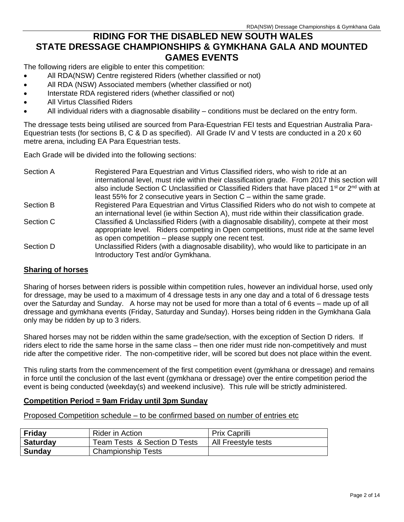## **RIDING FOR THE DISABLED NEW SOUTH WALES STATE DRESSAGE CHAMPIONSHIPS & GYMKHANA GALA AND MOUNTED GAMES EVENTS**

The following riders are eligible to enter this competition:

- All RDA(NSW) Centre registered Riders (whether classified or not)
- All RDA (NSW) Associated members (whether classified or not)
- Interstate RDA registered riders (whether classified or not)
- All Virtus Classified Riders
- All individual riders with a diagnosable disability conditions must be declared on the entry form.

The dressage tests being utilised are sourced from Para-Equestrian FEI tests and Equestrian Australia Para-Equestrian tests (for sections B, C & D as specified). All Grade IV and V tests are conducted in a 20 x 60 metre arena, including EA Para Equestrian tests.

Each Grade will be divided into the following sections:

| Section A | Registered Para Equestrian and Virtus Classified riders, who wish to ride at an                                      |
|-----------|----------------------------------------------------------------------------------------------------------------------|
|           | international level, must ride within their classification grade. From 2017 this section will                        |
|           | also include Section C Unclassified or Classified Riders that have placed 1 <sup>st</sup> or 2 <sup>nd</sup> with at |
|           | least 55% for 2 consecutive years in Section $C$ – within the same grade.                                            |
| Section B | Registered Para Equestrian and Virtus Classified Riders who do not wish to compete at                                |
|           | an international level (ie within Section A), must ride within their classification grade.                           |
| Section C | Classified & Unclassified Riders (with a diagnosable disability), compete at their most                              |
|           | appropriate level. Riders competing in Open competitions, must ride at the same level                                |
|           | as open competition – please supply one recent test.                                                                 |
| Section D | Unclassified Riders (with a diagnosable disability), who would like to participate in an                             |
|           | Introductory Test and/or Gymkhana.                                                                                   |

#### **Sharing of horses**

Sharing of horses between riders is possible within competition rules, however an individual horse, used only for dressage, may be used to a maximum of 4 dressage tests in any one day and a total of 6 dressage tests over the Saturday and Sunday. A horse may not be used for more than a total of 6 events – made up of all dressage and gymkhana events (Friday, Saturday and Sunday). Horses being ridden in the Gymkhana Gala only may be ridden by up to 3 riders.

Shared horses may not be ridden within the same grade/section, with the exception of Section D riders. If riders elect to ride the same horse in the same class – then one rider must ride non-competitively and must ride after the competitive rider. The non-competitive rider, will be scored but does not place within the event.

This ruling starts from the commencement of the first competition event (gymkhana or dressage) and remains in force until the conclusion of the last event (gymkhana or dressage) over the entire competition period the event is being conducted (weekday(s) and weekend inclusive). This rule will be strictly administered.

#### **Competition Period = 9am Friday until 3pm Sunday**

Proposed Competition schedule – to be confirmed based on number of entries etc

| Friday          | <b>Rider in Action</b>       | <b>Prix Caprilli</b> |
|-----------------|------------------------------|----------------------|
| <b>Saturday</b> | Team Tests & Section D Tests | All Freestyle tests  |
| <b>Sunday</b>   | <b>Championship Tests</b>    |                      |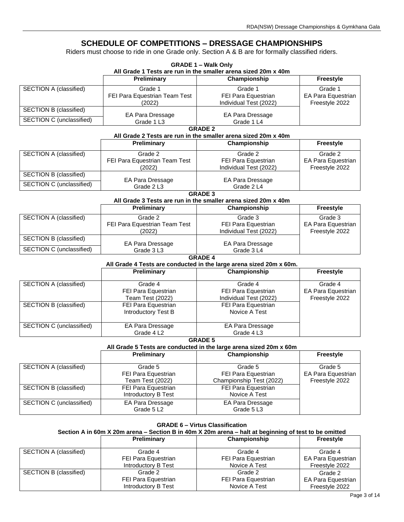### **SCHEDULE OF COMPETITIONS – DRESSAGE CHAMPIONSHIPS**

Riders must choose to ride in one Grade only. Section A & B are for formally classified riders.

|                               |                                                                                                       | <b>GRADE 1 - Walk Only</b><br>All Grade 1 Tests are run in the smaller arena sized 20m x 40m |                    |  |  |  |  |
|-------------------------------|-------------------------------------------------------------------------------------------------------|----------------------------------------------------------------------------------------------|--------------------|--|--|--|--|
|                               | <b>Preliminary</b>                                                                                    | Championship                                                                                 | Freestyle          |  |  |  |  |
| SECTION A (classified)        | Grade 1                                                                                               | Grade 1                                                                                      | Grade 1            |  |  |  |  |
|                               | FEI Para Equestrian Team Test                                                                         | FEI Para Equestrian                                                                          | EA Para Equestrian |  |  |  |  |
|                               | (2022)                                                                                                | Individual Test (2022)                                                                       | Freestyle 2022     |  |  |  |  |
| SECTION B (classified)        | EA Para Dressage                                                                                      | EA Para Dressage                                                                             |                    |  |  |  |  |
| SECTION C (unclassified)      | Grade 1 L3                                                                                            | Grade 1 L4                                                                                   |                    |  |  |  |  |
| <b>GRADE 2</b>                |                                                                                                       |                                                                                              |                    |  |  |  |  |
|                               |                                                                                                       | All Grade 2 Tests are run in the smaller arena sized 20m x 40m                               |                    |  |  |  |  |
|                               | <b>Preliminary</b>                                                                                    | Championship                                                                                 | Freestyle          |  |  |  |  |
| <b>SECTION A (classified)</b> | Grade 2                                                                                               | Grade 2                                                                                      | Grade 2            |  |  |  |  |
|                               | FEI Para Equestrian Team Test                                                                         | FEI Para Equestrian                                                                          | EA Para Equestrian |  |  |  |  |
|                               | (2022)                                                                                                | Individual Test (2022)                                                                       | Freestyle 2022     |  |  |  |  |
| SECTION B (classified)        | EA Para Dressage                                                                                      | EA Para Dressage                                                                             |                    |  |  |  |  |
| SECTION C (unclassified)      | Grade 2 L3                                                                                            | Grade 2 L4                                                                                   |                    |  |  |  |  |
|                               |                                                                                                       | <b>GRADE 3</b>                                                                               |                    |  |  |  |  |
|                               |                                                                                                       | All Grade 3 Tests are run in the smaller arena sized 20m x 40m                               |                    |  |  |  |  |
|                               | Preliminary                                                                                           | Championship                                                                                 | Freestyle          |  |  |  |  |
| SECTION A (classified)        | Grade 2                                                                                               | Grade 3                                                                                      | Grade 3            |  |  |  |  |
|                               | FEI Para Equestrian Team Test                                                                         | FEI Para Equestrian                                                                          | EA Para Equestrian |  |  |  |  |
|                               | (2022)                                                                                                | Individual Test (2022)                                                                       | Freestyle 2022     |  |  |  |  |
| SECTION B (classified)        | EA Para Dressage                                                                                      | EA Para Dressage                                                                             |                    |  |  |  |  |
| SECTION C (unclassified)      | Grade 3 L3                                                                                            | Grade 3L4                                                                                    |                    |  |  |  |  |
|                               |                                                                                                       | <b>GRADE 4</b>                                                                               |                    |  |  |  |  |
|                               |                                                                                                       | All Grade 4 Tests are conducted in the large arena sized 20m x 60m.                          |                    |  |  |  |  |
|                               | <b>Preliminary</b>                                                                                    | Championship                                                                                 | Freestyle          |  |  |  |  |
| SECTION A (classified)        | Grade 4                                                                                               | Grade 4                                                                                      | Grade 4            |  |  |  |  |
|                               | FEI Para Equestrian                                                                                   | FEI Para Equestrian                                                                          | EA Para Equestrian |  |  |  |  |
|                               | Team Test (2022)                                                                                      | Individual Test (2022)                                                                       | Freestyle 2022     |  |  |  |  |
| <b>SECTION B (classified)</b> | FEI Para Equestrian                                                                                   | FEI Para Equestrian                                                                          |                    |  |  |  |  |
|                               | Introductory Test B                                                                                   | Novice A Test                                                                                |                    |  |  |  |  |
|                               |                                                                                                       |                                                                                              |                    |  |  |  |  |
| SECTION C (unclassified)      | EA Para Dressage                                                                                      | EA Para Dressage                                                                             |                    |  |  |  |  |
|                               | Grade 4 L2                                                                                            | Grade 4 L3<br><b>GRADE 5</b>                                                                 |                    |  |  |  |  |
|                               |                                                                                                       | All Grade 5 Tests are conducted in the large arena sized 20m x 60m                           |                    |  |  |  |  |
|                               | <b>Preliminary</b>                                                                                    | Championship                                                                                 | Freestyle          |  |  |  |  |
| <b>SECTION A (classified)</b> | Grade 5                                                                                               | Grade 5                                                                                      | Grade 5            |  |  |  |  |
|                               | FEI Para Equestrian                                                                                   | FEI Para Equestrian                                                                          | EA Para Equestrian |  |  |  |  |
|                               | <b>Team Test (2022)</b>                                                                               | Championship Test (2022)                                                                     | Freestyle 2022     |  |  |  |  |
| SECTION B (classified)        | FEI Para Equestrian                                                                                   | FEI Para Equestrian                                                                          |                    |  |  |  |  |
|                               | Introductory B Test                                                                                   | Novice A Test                                                                                |                    |  |  |  |  |
| SECTION C (unclassified)      | EA Para Dressage                                                                                      | EA Para Dressage                                                                             |                    |  |  |  |  |
|                               | Grade 5 L2                                                                                            | Grade 5 L3                                                                                   |                    |  |  |  |  |
|                               |                                                                                                       |                                                                                              |                    |  |  |  |  |
|                               | Section A in 60m X 20m arena - Section B in 40m X 20m arena - halt at beginning of test to be omitted | <b>GRADE 6 - Virtus Classification</b>                                                       |                    |  |  |  |  |
|                               | Preliminary                                                                                           | Championship                                                                                 | Freestyle          |  |  |  |  |
|                               |                                                                                                       |                                                                                              |                    |  |  |  |  |

|                        | г гонншагу          | <b>UIRIIIDIUIISIIID</b> | <b>TIGGSLAIG</b>          |
|------------------------|---------------------|-------------------------|---------------------------|
| SECTION A (classified) | Grade 4             | Grade 4                 | Grade 4                   |
|                        | FEI Para Equestrian | FEI Para Equestrian     | <b>EA Para Equestrian</b> |
|                        | Introductory B Test | Novice A Test           | Freestyle 2022            |
| SECTION B (classified) | Grade 2             | Grade 2                 | Grade 2                   |
|                        | FEI Para Equestrian | FEI Para Equestrian     | EA Para Equestrian        |
|                        | Introductory B Test | Novice A Test           | Freestyle 2022            |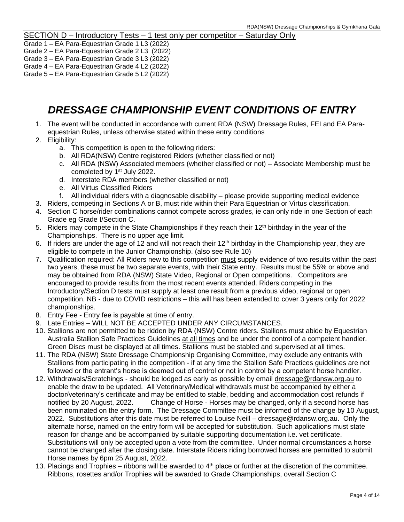#### SECTION D – Introductory Tests – 1 test only per competitor – Saturday Only

- Grade 1 EA Para-Equestrian Grade 1 L3 (2022)
- Grade 2 EA Para-Equestrian Grade 2 L3 (2022)
- Grade 3 EA Para-Equestrian Grade 3 L3 (2022)
- Grade 4 EA Para-Equestrian Grade 4 L2 (2022)
- Grade 5 EA Para-Equestrian Grade 5 L2 (2022)

## *DRESSAGE CHAMPIONSHIP EVENT CONDITIONS OF ENTRY*

- 1. The event will be conducted in accordance with current RDA (NSW) Dressage Rules, FEI and EA Paraequestrian Rules, unless otherwise stated within these entry conditions
- 2. Eligibility:
	- a. This competition is open to the following riders:
	- b. All RDA(NSW) Centre registered Riders (whether classified or not)
	- c. All RDA (NSW) Associated members (whether classified or not) Associate Membership must be completed by 1<sup>st</sup> July 2022.
	- d. Interstate RDA members (whether classified or not)
	- e. All Virtus Classified Riders
	- f. All individual riders with a diagnosable disability please provide supporting medical evidence
- 3. Riders, competing in Sections A or B, must ride within their Para Equestrian or Virtus classification.
- 4. Section C horse/rider combinations cannot compete across grades, ie can only ride in one Section of each Grade eg Grade I/Section C.
- 5. Riders may compete in the State Championships if they reach their 12<sup>th</sup> birthday in the year of the Championships. There is no upper age limit.
- 6. If riders are under the age of 12 and will not reach their  $12<sup>th</sup>$  birthday in the Championship year, they are eligible to compete in the Junior Championship. (also see Rule 10)
- 7. Qualification required: All Riders new to this competition must supply evidence of two results within the past two years, these must be two separate events, with their State entry. Results must be 55% or above and may be obtained from RDA (NSW) State Video, Regional or Open competitions. Competitors are encouraged to provide results from the most recent events attended. Riders competing in the Introductory/Section D tests must supply at least one result from a previous video, regional or open competition. NB - due to COVID restrictions – this will has been extended to cover 3 years only for 2022 championships.
- 8. Entry Fee Entry fee is payable at time of entry.
- 9. Late Entries WILL NOT BE ACCEPTED UNDER ANY CIRCUMSTANCES.
- 10. Stallions are not permitted to be ridden by RDA (NSW) Centre riders. Stallions must abide by Equestrian Australia Stallion Safe Practices Guidelines at all times and be under the control of a competent handler. Green Discs must be displayed at all times. Stallions must be stabled and supervised at all times.
- 11. The RDA (NSW) State Dressage Championship Organising Committee, may exclude any entrants with Stallions from participating in the competition - if at any time the Stallion Safe Practices guidelines are not followed or the entrant's horse is deemed out of control or not in control by a competent horse handler.
- 12. Withdrawals/Scratchings should be lodged as early as possible by email [dressage@rdansw.org.au](mailto:dressage@rdansw.org.au) to enable the draw to be updated. All Veterinary/Medical withdrawals must be accompanied by either a doctor/veterinary's certificate and may be entitled to stable, bedding and accommodation cost refunds if notified by 20 August, 2022. Change of Horse - Horses may be changed, only if a second horse has been nominated on the entry form. The Dressage Committee must be informed of the change by 10 August. 2022. Substitutions after this date must be referred to Louise Neill – dressage@rdansw.org.au. Only the alternate horse, named on the entry form will be accepted for substitution. Such applications must state reason for change and be accompanied by suitable supporting documentation i.e. vet certificate. Substitutions will only be accepted upon a vote from the committee. Under normal circumstances a horse cannot be changed after the closing date. Interstate Riders riding borrowed horses are permitted to submit Horse names by 6pm 25 August, 2022.
- 13. Placings and Trophies ribbons will be awarded to  $4<sup>th</sup>$  place or further at the discretion of the committee. Ribbons, rosettes and/or Trophies will be awarded to Grade Championships, overall Section C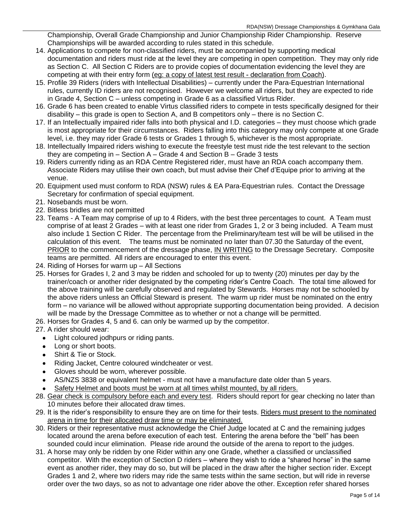Championship, Overall Grade Championship and Junior Championship Rider Championship. Reserve Championships will be awarded according to rules stated in this schedule.

- 14. Applications to compete for non-classified riders, must be accompanied by supporting medical documentation and riders must ride at the level they are competing in open competition. They may only ride as Section C. All Section C Riders are to provide copies of documentation evidencing the level they are competing at with their entry form (eg: a copy of latest test result - declaration from Coach).
- 15. Profile 39 Riders (riders with Intellectual Disabilities) currently under the Para-Equestrian International rules, currently ID riders are not recognised. However we welcome all riders, but they are expected to ride in Grade 4, Section C – unless competing in Grade 6 as a classified Virtus Rider.
- 16. Grade 6 has been created to enable Virtus classified riders to compete in tests specifically designed for their disability – this grade is open to Section A, and B competitors only – there is no Section C.
- 17. If an Intellectually impaired rider falls into both physical and I.D. categories they must choose which grade is most appropriate for their circumstances. Riders falling into this category may only compete at one Grade level, i.e. they may rider Grade 6 tests or Grades 1 through 5, whichever is the most appropriate.
- 18. Intellectually Impaired riders wishing to execute the freestyle test must ride the test relevant to the section they are competing in – Section A – Grade 4 and Section B – Grade 3 tests
- 19. Riders currently riding as an RDA Centre Registered rider, must have an RDA coach accompany them. Associate Riders may utilise their own coach, but must advise their Chef d'Equipe prior to arriving at the venue.
- 20. Equipment used must conform to RDA (NSW) rules & EA Para-Equestrian rules. Contact the Dressage Secretary for confirmation of special equipment.
- 21. Nosebands must be worn.
- 22. Bitless bridles are not permitted
- 23. Teams A Team may comprise of up to 4 Riders, with the best three percentages to count. A Team must comprise of at least 2 Grades – with at least one rider from Grades 1, 2 or 3 being included. A Team must also include 1 Section C Rider. The percentage from the Preliminary/team test will be will be utilised in the calculation of this event. The teams must be nominated no later than 07.30 the Saturday of the event, PRIOR to the commencement of the dressage phase, IN WRITING to the Dressage Secretary. Composite teams are permitted. All riders are encouraged to enter this event.
- 24. Riding of Horses for warm up All Sections
- 25. Horses for Grades I, 2 and 3 may be ridden and schooled for up to twenty (20) minutes per day by the trainer/coach or another rider designated by the competing rider's Centre Coach. The total time allowed for the above training will be carefully observed and regulated by Stewards. Horses may not be schooled by the above riders unless an Official Steward is present. The warm up rider must be nominated on the entry form – no variance will be allowed without appropriate supporting documentation being provided. A decision will be made by the Dressage Committee as to whether or not a change will be permitted.
- 26. Horses for Grades 4, 5 and 6. can only be warmed up by the competitor.
- 27. A rider should wear:
	- Light coloured jodhpurs or riding pants.
	- Long or short boots.
	- Shirt & Tie or Stock.
	- Riding Jacket, Centre coloured windcheater or vest.
	- Gloves should be worn, wherever possible.
	- AS/NZS 3838 or equivalent helmet must not have a manufacture date older than 5 years.
	- Safety Helmet and boots must be worn at all times whilst mounted, by all riders.
- 28. Gear check is compulsory before each and every test. Riders should report for gear checking no later than 10 minutes before their allocated draw times.
- 29. It is the rider's responsibility to ensure they are on time for their tests. Riders must present to the nominated arena in time for their allocated draw time or may be eliminated.
- 30. Riders or their representative must acknowledge the Chief Judge located at C and the remaining judges located around the arena before execution of each test. Entering the arena before the "bell" has been sounded could incur elimination. Please ride around the outside of the arena to report to the judges.
- 31. A horse may only be ridden by one Rider within any one Grade, whether a classified or unclassified competitor. With the exception of Section D riders – where they wish to ride a "shared horse" in the same event as another rider, they may do so, but will be placed in the draw after the higher section rider. Except Grades 1 and 2, where two riders may ride the same tests within the same section, but will ride in reverse order over the two days, so as not to advantage one rider above the other. Exception refer shared horses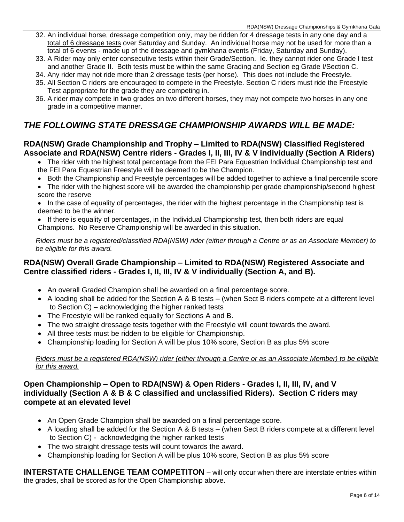- 32. An individual horse, dressage competition only, may be ridden for 4 dressage tests in any one day and a total of 6 dressage tests over Saturday and Sunday. An individual horse may not be used for more than a total of 6 events - made up of the dressage and gymkhana events (Friday, Saturday and Sunday).
- 33. A Rider may only enter consecutive tests within their Grade/Section. Ie. they cannot rider one Grade I test and another Grade II. Both tests must be within the same Grading and Section eg Grade I/Section C.
- 34. Any rider may not ride more than 2 dressage tests (per horse). This does not include the Freestyle.
- 35. All Section C riders are encouraged to compete in the Freestyle. Section C riders must ride the Freestyle Test appropriate for the grade they are competing in.
- 36. A rider may compete in two grades on two different horses, they may not compete two horses in any one grade in a competitive manner.

## *THE FOLLOWING STATE DRESSAGE CHAMPIONSHIP AWARDS WILL BE MADE:*

### **RDA(NSW) Grade Championship and Trophy – Limited to RDA(NSW) Classified Registered Associate and RDA(NSW) Centre riders - Grades I, II, III, IV & V individually (Section A Riders)**

 The rider with the highest total percentage from the FEI Para Equestrian Individual Championship test and the FEI Para Equestrian Freestyle will be deemed to be the Champion.

- Both the Championship and Freestyle percentages will be added together to achieve a final percentile score
- The rider with the highest score will be awarded the championship per grade championship/second highest score the reserve
- In the case of equality of percentages, the rider with the highest percentage in the Championship test is deemed to be the winner.
- If there is equality of percentages, in the Individual Championship test, then both riders are equal Champions. No Reserve Championship will be awarded in this situation.

*Riders must be a registered/classified RDA(NSW) rider (either through a Centre or as an Associate Member) to be eligible for this award.*

#### **RDA(NSW) Overall Grade Championship – Limited to RDA(NSW) Registered Associate and Centre classified riders - Grades I, II, III, IV & V individually (Section A, and B).**

- An overall Graded Champion shall be awarded on a final percentage score.
- A loading shall be added for the Section A & B tests (when Sect B riders compete at a different level to Section C) – acknowledging the higher ranked tests
- The Freestyle will be ranked equally for Sections A and B.
- The two straight dressage tests together with the Freestyle will count towards the award.
- All three tests must be ridden to be eligible for Championship.
- Championship loading for Section A will be plus 10% score, Section B as plus 5% score

#### *Riders must be a registered RDA(NSW) rider (either through a Centre or as an Associate Member) to be eligible for this award.*

#### **Open Championship – Open to RDA(NSW) & Open Riders - Grades I, II, III, IV, and V individually (Section A & B & C classified and unclassified Riders). Section C riders may compete at an elevated level**

- An Open Grade Champion shall be awarded on a final percentage score.
- A loading shall be added for the Section A & B tests (when Sect B riders compete at a different level to Section C) - acknowledging the higher ranked tests
- The two straight dressage tests will count towards the award.
- Championship loading for Section A will be plus 10% score, Section B as plus 5% score

**INTERSTATE CHALLENGE TEAM COMPETITON – will only occur when there are interstate entries within** the grades, shall be scored as for the Open Championship above.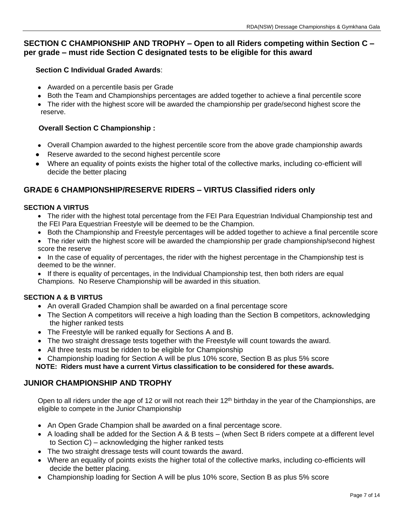## **SECTION C CHAMPIONSHIP AND TROPHY – Open to all Riders competing within Section C – per grade – must ride Section C designated tests to be eligible for this award**

### **Section C Individual Graded Awards**:

- Awarded on a percentile basis per Grade
- Both the Team and Championships percentages are added together to achieve a final percentile score
- The rider with the highest score will be awarded the championship per grade/second highest score the reserve.

#### **Overall Section C Championship :**

- Overall Champion awarded to the highest percentile score from the above grade championship awards
- Reserve awarded to the second highest percentile score
- Where an equality of points exists the higher total of the collective marks, including co-efficient will decide the better placing

## **GRADE 6 CHAMPIONSHIP/RESERVE RIDERS – VIRTUS Classified riders only**

#### **SECTION A VIRTUS**

- The rider with the highest total percentage from the FEI Para Equestrian Individual Championship test and the FEI Para Equestrian Freestyle will be deemed to be the Champion.
- Both the Championship and Freestyle percentages will be added together to achieve a final percentile score
- The rider with the highest score will be awarded the championship per grade championship/second highest score the reserve

• In the case of equality of percentages, the rider with the highest percentage in the Championship test is deemed to be the winner.

• If there is equality of percentages, in the Individual Championship test, then both riders are equal Champions. No Reserve Championship will be awarded in this situation.

### **SECTION A & B VIRTUS**

- An overall Graded Champion shall be awarded on a final percentage score
- The Section A competitors will receive a high loading than the Section B competitors, acknowledging the higher ranked tests
- The Freestyle will be ranked equally for Sections A and B.
- The two straight dressage tests together with the Freestyle will count towards the award.
- All three tests must be ridden to be eligible for Championship
- Championship loading for Section A will be plus 10% score, Section B as plus 5% score

**NOTE: Riders must have a current Virtus classification to be considered for these awards.**

### **JUNIOR CHAMPIONSHIP AND TROPHY**

Open to all riders under the age of 12 or will not reach their 12<sup>th</sup> birthday in the year of the Championships, are eligible to compete in the Junior Championship

- An Open Grade Champion shall be awarded on a final percentage score.
- A loading shall be added for the Section A & B tests (when Sect B riders compete at a different level to Section C) – acknowledging the higher ranked tests
- The two straight dressage tests will count towards the award.
- Where an equality of points exists the higher total of the collective marks, including co-efficients will decide the better placing.
- Championship loading for Section A will be plus 10% score, Section B as plus 5% score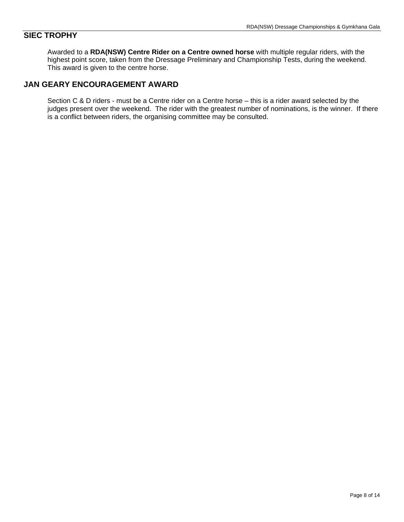#### **SIEC TROPHY**

Awarded to a **RDA(NSW) Centre Rider on a Centre owned horse** with multiple regular riders, with the highest point score, taken from the Dressage Preliminary and Championship Tests, during the weekend. This award is given to the centre horse.

### **JAN GEARY ENCOURAGEMENT AWARD**

Section C & D riders - must be a Centre rider on a Centre horse – this is a rider award selected by the judges present over the weekend. The rider with the greatest number of nominations, is the winner. If there is a conflict between riders, the organising committee may be consulted.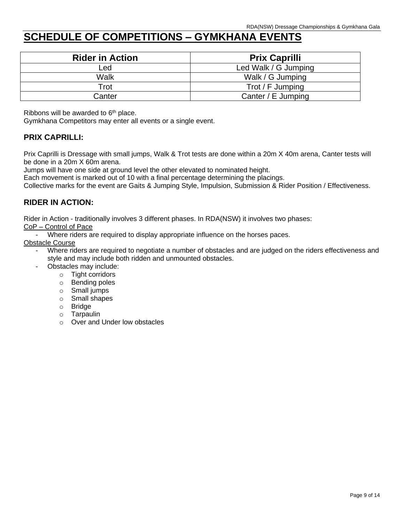## **SCHEDULE OF COMPETITIONS – GYMKHANA EVENTS**

| <b>Rider in Action</b> | <b>Prix Caprilli</b> |
|------------------------|----------------------|
| Led                    | Led Walk / G Jumping |
| Walk                   | Walk / G Jumping     |
| Trot                   | Trot / F Jumping     |
| Canter                 | Canter / E Jumping   |

Ribbons will be awarded to  $6<sup>th</sup>$  place.

Gymkhana Competitors may enter all events or a single event.

### **PRIX CAPRILLI:**

Prix Caprilli is Dressage with small jumps, Walk & Trot tests are done within a 20m X 40m arena, Canter tests will be done in a 20m X 60m arena.

Jumps will have one side at ground level the other elevated to nominated height.

Each movement is marked out of 10 with a final percentage determining the placings.

Collective marks for the event are Gaits & Jumping Style, Impulsion, Submission & Rider Position / Effectiveness.

### **RIDER IN ACTION:**

Rider in Action - traditionally involves 3 different phases. In RDA(NSW) it involves two phases:

CoP – Control of Pace

Where riders are required to display appropriate influence on the horses paces.

Obstacle Course

- Where riders are required to negotiate a number of obstacles and are judged on the riders effectiveness and style and may include both ridden and unmounted obstacles.
- Obstacles may include:
	- o Tight corridors
	- o Bending poles
	- o Small jumps
	- o Small shapes
	- o Bridge
	- o Tarpaulin
	- o Over and Under low obstacles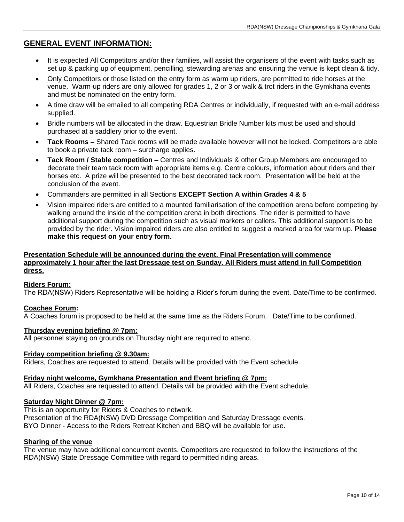### **GENERAL EVENT INFORMATION:**

- It is expected All Competitors and/or their families, will assist the organisers of the event with tasks such as set up & packing up of equipment, pencilling, stewarding arenas and ensuring the venue is kept clean & tidy.
- Only Competitors or those listed on the entry form as warm up riders, are permitted to ride horses at the venue. Warm-up riders are only allowed for grades 1, 2 or 3 or walk & trot riders in the Gymkhana events and must be nominated on the entry form.
- A time draw will be emailed to all competing RDA Centres or individually, if requested with an e-mail address supplied.
- Bridle numbers will be allocated in the draw. Equestrian Bridle Number kits must be used and should purchased at a saddlery prior to the event.
- **Tack Rooms –** Shared Tack rooms will be made available however will not be locked. Competitors are able to book a private tack room – surcharge applies.
- **Tack Room / Stable competition –** Centres and Individuals & other Group Members are encouraged to decorate their team tack room with appropriate items e.g. Centre colours, information about riders and their horses etc. A prize will be presented to the best decorated tack room. Presentation will be held at the conclusion of the event.
- Commanders are permitted in all Sections **EXCEPT Section A within Grades 4 & 5**
- Vision impaired riders are entitled to a mounted familiarisation of the competition arena before competing by walking around the inside of the competition arena in both directions. The rider is permitted to have additional support during the competition such as visual markers or callers. This additional support is to be provided by the rider. Vision impaired riders are also entitled to suggest a marked area for warm up. **Please make this request on your entry form.**

#### **Presentation Schedule will be announced during the event. Final Presentation will commence approximately 1 hour after the last Dressage test on Sunday. All Riders must attend in full Competition dress.**

#### **Riders Forum:**

The RDA(NSW) Riders Representative will be holding a Rider's forum during the event. Date/Time to be confirmed.

#### **Coaches Forum:**

A Coaches forum is proposed to be held at the same time as the Riders Forum. Date/Time to be confirmed.

#### **Thursday evening briefing @ 7pm:**

All personnel staying on grounds on Thursday night are required to attend.

#### **Friday competition briefing @ 9.30am:**

Riders, Coaches are requested to attend. Details will be provided with the Event schedule.

#### **Friday night welcome, Gymkhana Presentation and Event briefing @ 7pm:**

All Riders, Coaches are requested to attend. Details will be provided with the Event schedule.

#### **Saturday Night Dinner @ 7pm:**

This is an opportunity for Riders & Coaches to network. Presentation of the RDA(NSW) DVD Dressage Competition and Saturday Dressage events. BYO Dinner - Access to the Riders Retreat Kitchen and BBQ will be available for use.

#### **Sharing of the venue**

The venue may have additional concurrent events. Competitors are requested to follow the instructions of the RDA(NSW) State Dressage Committee with regard to permitted riding areas.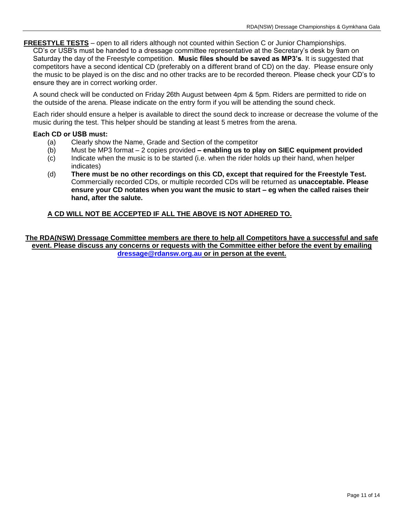**FREESTYLE TESTS** – open to all riders although not counted within Section C or Junior Championships.

CD's or USB's must be handed to a dressage committee representative at the Secretary's desk by 9am on Saturday the day of the Freestyle competition. **Music files should be saved as MP3's**. It is suggested that competitors have a second identical CD (preferably on a different brand of CD) on the day. Please ensure only the music to be played is on the disc and no other tracks are to be recorded thereon. Please check your CD's to ensure they are in correct working order.

A sound check will be conducted on Friday 26th August between 4pm & 5pm. Riders are permitted to ride on the outside of the arena. Please indicate on the entry form if you will be attending the sound check.

Each rider should ensure a helper is available to direct the sound deck to increase or decrease the volume of the music during the test. This helper should be standing at least 5 metres from the arena.

#### **Each CD or USB must:**

- (a) Clearly show the Name, Grade and Section of the competitor
- (b) Must be MP3 format 2 copies provided **– enabling us to play on SIEC equipment provided**
- (c) Indicate when the music is to be started (i.e. when the rider holds up their hand, when helper indicates)
- (d) **There must be no other recordings on this CD, except that required for the Freestyle Test.**  Commercially recorded CDs, or multiple recorded CDs will be returned as **unacceptable. Please ensure your CD notates when you want the music to start – eg when the called raises their hand, after the salute.**

#### **A CD WILL NOT BE ACCEPTED IF ALL THE ABOVE IS NOT ADHERED TO.**

**The RDA(NSW) Dressage Committee members are there to help all Competitors have a successful and safe event. Please discuss any concerns or requests with the Committee either before the event by emailing [dressage@rdansw.org.au](mailto:dressage@rdansw.org.au) or in person at the event.**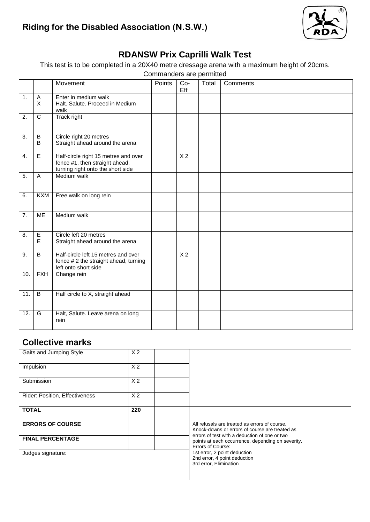

## **RDANSW Prix Caprilli Walk Test**

This test is to be completed in a 20X40 metre dressage arena with a maximum height of 20cms.

|                   |                     |                                                                                                             | Commanders are permitted |                |       |          |
|-------------------|---------------------|-------------------------------------------------------------------------------------------------------------|--------------------------|----------------|-------|----------|
|                   |                     | Movement                                                                                                    | Points                   | $Co-$<br>Eff   | Total | Comments |
| 1.                | $\overline{A}$<br>X | Enter in medium walk<br>Halt. Salute. Proceed in Medium<br>walk                                             |                          |                |       |          |
| 2.                | $\overline{C}$      | Track right                                                                                                 |                          |                |       |          |
| $\overline{3}$ .  | $\sf B$<br>B        | Circle right 20 metres<br>Straight ahead around the arena                                                   |                          |                |       |          |
| 4.                | E                   | Half-circle right 15 metres and over<br>fence #1, then straight ahead,<br>turning right onto the short side |                          | X <sub>2</sub> |       |          |
| 5.                | $\overline{A}$      | Medium walk                                                                                                 |                          |                |       |          |
| 6.                | <b>KXM</b>          | Free walk on long rein                                                                                      |                          |                |       |          |
| 7.                | <b>ME</b>           | Medium walk                                                                                                 |                          |                |       |          |
| 8.                | E<br>E              | Circle left 20 metres<br>Straight ahead around the arena                                                    |                          |                |       |          |
| 9.                | B                   | Half-circle left 15 metres and over<br>fence # 2 the straight ahead, turning<br>left onto short side        |                          | X <sub>2</sub> |       |          |
| 10.               | <b>FXH</b>          | Change rein                                                                                                 |                          |                |       |          |
| $\overline{11}$ . | $\overline{B}$      | Half circle to X, straight ahead                                                                            |                          |                |       |          |
| 12.               | G                   | Halt, Salute. Leave arena on long<br>rein                                                                   |                          |                |       |          |

## **Collective marks**

| Gaits and Jumping Style        | X <sub>2</sub> |                                                                                                                         |
|--------------------------------|----------------|-------------------------------------------------------------------------------------------------------------------------|
| Impulsion                      | X <sub>2</sub> |                                                                                                                         |
| Submission                     | X <sub>2</sub> |                                                                                                                         |
| Rider: Position, Effectiveness | X <sub>2</sub> |                                                                                                                         |
| <b>TOTAL</b>                   | 220            |                                                                                                                         |
| <b>ERRORS OF COURSE</b>        |                | All refusals are treated as errors of course.<br>Knock-downs or errors of course are treated as                         |
| <b>FINAL PERCENTAGE</b>        |                | errors of test with a deduction of one or two<br>points at each occurrence, depending on severity.<br>Errors of Course: |
| Judges signature:              |                | 1st error, 2 point deduction<br>2nd error, 4 point deduction<br>3rd error, Elimination                                  |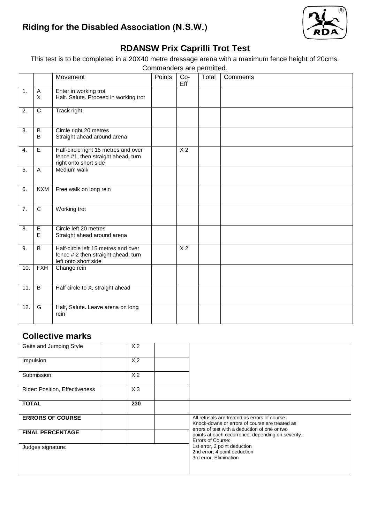

## **RDANSW Prix Caprilli Trot Test**

This test is to be completed in a 20X40 metre dressage arena with a maximum fence height of 20cms.

Commanders are permitted.

|                  |                     | Movement                                                                                             | Points | Co-<br>Eff      | Total | Comments |
|------------------|---------------------|------------------------------------------------------------------------------------------------------|--------|-----------------|-------|----------|
| 1.               | $\overline{A}$<br>X | Enter in working trot<br>Halt. Salute. Proceed in working trot                                       |        |                 |       |          |
| 2.               | $\mathbf C$         | Track right                                                                                          |        |                 |       |          |
| 3.               | B<br>B              | Circle right 20 metres<br>Straight ahead around arena                                                |        |                 |       |          |
| 4.               | E                   | Half-circle right 15 metres and over<br>fence #1, then straight ahead, turn<br>right onto short side |        | X <sub>2</sub>  |       |          |
| 5.               | $\overline{A}$      | Medium walk                                                                                          |        |                 |       |          |
| 6.               | <b>KXM</b>          | Free walk on long rein                                                                               |        |                 |       |          |
| $\overline{7}$ . | $\overline{c}$      | Working trot                                                                                         |        |                 |       |          |
| 8.               | $\mathsf E$<br>E    | Circle left 20 metres<br>Straight ahead around arena                                                 |        |                 |       |          |
| 9.               | B                   | Half-circle left 15 metres and over<br>fence # 2 then straight ahead, turn<br>left onto short side   |        | $\overline{X}2$ |       |          |
| 10.              | <b>FXH</b>          | Change rein                                                                                          |        |                 |       |          |
| 11.              | $\overline{B}$      | Half circle to X, straight ahead                                                                     |        |                 |       |          |
| 12.              | G                   | Halt, Salute. Leave arena on long<br>rein                                                            |        |                 |       |          |

## **Collective marks**

| Gaits and Jumping Style        | X <sub>2</sub> |                                                                                                                         |
|--------------------------------|----------------|-------------------------------------------------------------------------------------------------------------------------|
| Impulsion                      | X <sub>2</sub> |                                                                                                                         |
| Submission                     | X <sub>2</sub> |                                                                                                                         |
| Rider: Position, Effectiveness | $X_3$          |                                                                                                                         |
| <b>TOTAL</b>                   | 230            |                                                                                                                         |
| <b>ERRORS OF COURSE</b>        |                | All refusals are treated as errors of course.<br>Knock-downs or errors of course are treated as                         |
| <b>FINAL PERCENTAGE</b>        |                | errors of test with a deduction of one or two<br>points at each occurrence, depending on severity.<br>Errors of Course: |
| Judges signature:              |                | 1st error, 2 point deduction<br>2nd error, 4 point deduction<br>3rd error, Elimination                                  |